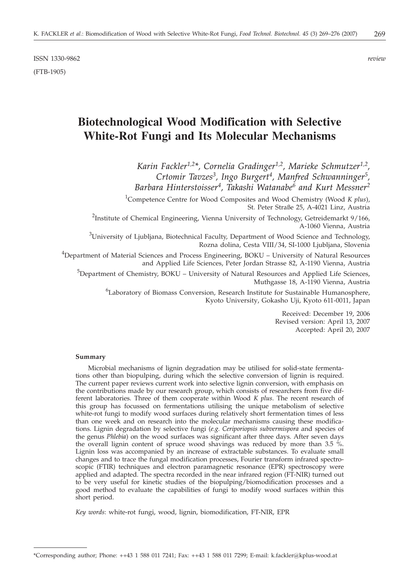ISSN 1330-9862 *review* (FTB-1905)

# **Biotechnological Wood Modification with Selective White-Rot Fungi and Its Molecular Mechanisms**

*Karin Fackler1,2\*, Cornelia Gradinger1,2, Marieke Schmutzer1,2, Crtomir Tavzes3, Ingo Burgert4, Manfred Schwanninger5, Barbara Hinterstoisser4, Takashi Watanabe6 and Kurt Messner2*

1 Competence Centre for Wood Composites and Wood Chemistry (Wood *K plus*), St. Peter Straße 25, A-4021 Linz, Austria

<sup>2</sup>Institute of Chemical Engineering, Vienna University of Technology, Getreidemarkt 9/166, A-1060 Vienna, Austria

 $^3$ University of Ljubljana, Biotechnical Faculty, Department of Wood Science and Technology, Rozna dolina, Cesta VIII/34, SI-1000 Ljubljana, Slovenia

<sup>4</sup>Department of Material Sciences and Process Engineering, BOKU – University of Natural Resources and Applied Life Sciences, Peter Jordan Strasse 82, A-1190 Vienna, Austria

<sup>5</sup>Department of Chemistry, BOKU – University of Natural Resources and Applied Life Sciences, Muthgasse 18, A-1190 Vienna, Austria

<sup>6</sup>Laboratory of Biomass Conversion, Research Institute for Sustainable Humanosphere, Kyoto University, Gokasho Uji, Kyoto 611-0011, Japan

> Received: December 19, 2006 Revised version: April 13, 2007 Accepted: April 20, 2007

#### **Summary**

Microbial mechanisms of lignin degradation may be utilised for solid-state fermentations other than biopulping, during which the selective conversion of lignin is required. The current paper reviews current work into selective lignin conversion, with emphasis on the contributions made by our research group, which consists of researchers from five different laboratories. Three of them cooperate within Wood *K plus*. The recent research of this group has focussed on fermentations utilising the unique metabolism of selective white-rot fungi to modify wood surfaces during relatively short fermentation times of less than one week and on research into the molecular mechanisms causing these modifications. Lignin degradation by selective fungi (*e.g. Ceriporiopsis subvermispora* and species of the genus *Phlebia*) on the wood surfaces was significant after three days. After seven days the overall lignin content of spruce wood shavings was reduced by more than 3.5 %. Lignin loss was accompanied by an increase of extractable substances. To evaluate small changes and to trace the fungal modification processes, Fourier transform infrared spectroscopic (FTIR) techniques and electron paramagnetic resonance (EPR) spectroscopy were applied and adapted. The spectra recorded in the near infrared region (FT-NIR) turned out to be very useful for kinetic studies of the biopulping/biomodification processes and a good method to evaluate the capabilities of fungi to modify wood surfaces within this short period.

*Key words*: white-rot fungi, wood, lignin, biomodification, FT-NIR, EPR

<sup>\*</sup>Corresponding author; Phone: ++43 1 588 011 7241; Fax: ++43 1 588 011 7299; E-mail: k.fackler@kplus-wood.at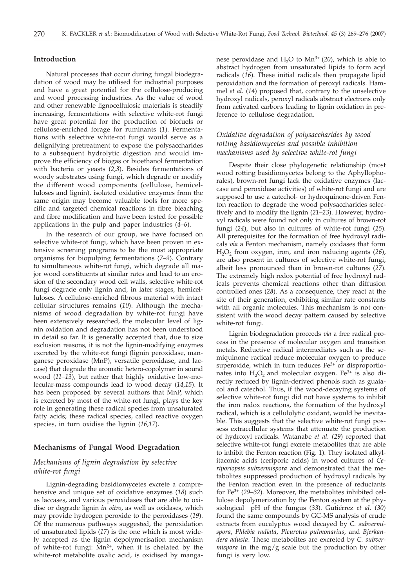#### **Introduction**

Natural processes that occur during fungal biodegradation of wood may be utilised for industrial purposes and have a great potential for the cellulose-producing and wood processing industries. As the value of wood and other renewable lignocellulosic materials is steadily increasing, fermentations with selective white-rot fungi have great potential for the production of biofuels or cellulose-enriched forage for ruminants (*1*). Fermentations with selective white-rot fungi would serve as a delignifying pretreatment to expose the polysaccharides to a subsequent hydrolytic digestion and would improve the efficiency of biogas or bioethanol fermentation with bacteria or yeasts (*2,3*). Besides fermentations of woody substrates using fungi, which degrade or modify the different wood components (cellulose, hemicelluloses and lignin), isolated oxidative enzymes from the same origin may become valuable tools for more specific and targeted chemical reactions in fibre bleaching and fibre modification and have been tested for possible applications in the pulp and paper industries (*4–6*).

In the research of our group, we have focused on selective white-rot fungi, which have been proven in extensive screening programs to be the most appropriate organisms for biopulping fermentations (*7–9*). Contrary to simultaneous white-rot fungi, which degrade all major wood constituents at similar rates and lead to an erosion of the secondary wood cell walls, selective white-rot fungi degrade only lignin and, in later stages, hemicelluloses. A cellulose-enriched fibrous material with intact cellular structures remains (*10*). Although the mechanisms of wood degradation by white-rot fungi have been extensively researched, the molecular level of lignin oxidation and degradation has not been understood in detail so far. It is generally accepted that, due to size exclusion reasons, it is not the lignin-modifying enzymes excreted by the white-rot fungi (lignin peroxidase, manganese peroxidase (MnP), versatile peroxidase, and laccase) that degrade the aromatic hetero-copolymer in sound wood (*11–13*), but rather that highly oxidative low-molecular-mass compounds lead to wood decay (*14,15*). It has been proposed by several authors that MnP, which is excreted by most of the white-rot fungi, plays the key role in generating these radical species from unsaturated fatty acids; these radical species, called reactive oxygen species, in turn oxidise the lignin (*16,17*).

#### **Mechanisms of Fungal Wood Degradation**

## *Mechanisms of lignin degradation by selective white-rot fungi*

Lignin-degrading basidiomycetes excrete a comprehensive and unique set of oxidative enzymes (*18*) such as laccases, and various peroxidases that are able to oxidise or degrade lignin *in vitro*, as well as oxidases, which may provide hydrogen peroxide to the peroxidases (*19*). Of the numerous pathways suggested, the peroxidation of unsaturated lipids (*17*) is the one which is most widely accepted as the lignin depolymerisation mechanism of white-rot fungi:  $Mn^{2+}$ , when it is chelated by the white-rot metabolite oxalic acid, is oxidised by manganese peroxidase and  $H<sub>2</sub>O$  to  $Mn<sup>3+</sup>$  (20), which is able to abstract hydrogen from unsaturated lipids to form acyl radicals (*16*). These initial radicals then propagate lipid peroxidation and the formation of peroxyl radicals. Hammel *et al.* (*14*) proposed that, contrary to the unselective hydroxyl radicals, peroxyl radicals abstract electrons only from activated carbons leading to lignin oxidation in preference to cellulose degradation.

# *Oxidative degradation of polysaccharides by wood rotting basidiomycetes and possible inhibition mechanisms used by selective white-rot fungi*

Despite their close phylogenetic relationship (most wood rotting basidiomycetes belong to the Aphyllophorales), brown-rot fungi lack the oxidative enzymes (laccase and peroxidase activities) of white-rot fungi and are supposed to use a catechol- or hydroquinone-driven Fenton reaction to degrade the wood polysaccharides selectively and to modify the lignin (*21–23*). However, hydroxyl radicals were found not only in cultures of brown-rot fungi (*24*), but also in cultures of white-rot fungi (*25*). All prerequisites for the formation of free hydroxyl radicals *via* a Fenton mechanism, namely oxidases that form H<sub>2</sub>O<sub>2</sub> from oxygen, iron, and iron reducing agents (26), are also present in cultures of selective white-rot fungi, albeit less pronounced than in brown-rot cultures (*27*). The extremely high redox potential of free hydroxyl radicals prevents chemical reactions other than diffusion controlled ones (*28*). As a consequence, they react at the site of their generation, exhibiting similar rate constants with all organic molecules. This mechanism is not consistent with the wood decay pattern caused by selective white-rot fungi.

Lignin biodegradation proceeds *via* a free radical process in the presence of molecular oxygen and transition metals. Reductive radical intermediates such as the semiquinone radical reduce molecular oxygen to produce superoxide, which in turn reduces  $Fe<sup>3+</sup>$  or disproportionates into  $H_2O_2$  and molecular oxygen. Fe<sup>3+</sup> is also directly reduced by lignin-derived phenols such as guaiacol and catechol. Thus, if the wood-decaying systems of selective white-rot fungi did not have systems to inhibit the iron redox reactions, the formation of the hydroxyl radical, which is a cellulolytic oxidant, would be inevitable. This suggests that the selective white-rot fungi possess extracellular systems that attenuate the production of hydroxyl radicals. Watanabe *et al. (29*) reported that selective white-rot fungi excrete metabolites that are able to inhibit the Fenton reaction (Fig. 1). They isolated alkylitaconic acids (ceriporic acids) in wood cultures of *Ceriporiopsis subvermispora* and demonstrated that the metabolites suppressed production of hydroxyl radicals by the Fenton reaction even in the presence of reductants for Fe3+ (*29–32*). Moreover, the metabolites inhibited cellulose depolymerization by the Fenton system at the physiological pH of the fungus (*33*). Gutiérrez *et al.* (*30*) found the same compounds by GC-MS analysis of crude extracts from eucalyptus wood decayed by *C. subvermispora*, *Phlebia radiata, Pleurotus pulmonarius,* and *Bjerkandera adusta*. These metabolites are excreted by *C. subvermispora* in the mg/g scale but the production by other fungi is very low.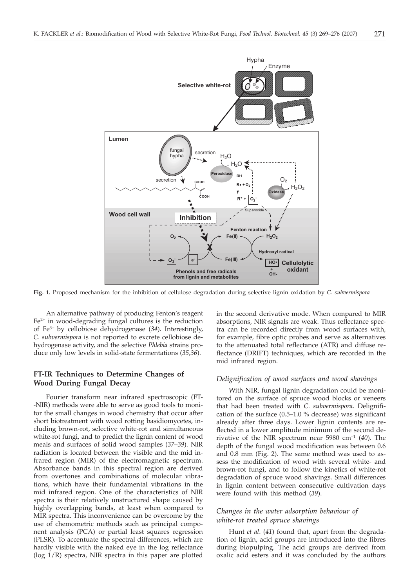

**Fig. 1.** Proposed mechanism for the inhibition of cellulose degradation during selective lignin oxidation by *C. subvermispora*

An alternative pathway of producing Fenton's reagent  $Fe<sup>2+</sup>$  in wood-degrading fungal cultures is the reduction of Fe3+ by cellobiose dehydrogenase (*34*). Interestingly, *C. subvermispora* is not reported to excrete cellobiose dehydrogenase activity, and the selective *Phlebia* strains produce only low levels in solid-state fermentations (*35,36*).

# **FT-IR Techniques to Determine Changes of Wood During Fungal Decay**

Fourier transform near infrared spectroscopic (FT- -NIR) methods were able to serve as good tools to monitor the small changes in wood chemistry that occur after short biotreatment with wood rotting basidiomycetes, including brown-rot, selective white-rot and simultaneous white-rot fungi, and to predict the lignin content of wood meals and surfaces of solid wood samples (*37–39*). NIR radiation is located between the visible and the mid infrared region (MIR) of the electromagnetic spectrum. Absorbance bands in this spectral region are derived from overtones and combinations of molecular vibrations, which have their fundamental vibrations in the mid infrared region. One of the characteristics of NIR spectra is their relatively unstructured shape caused by highly overlapping bands, at least when compared to MIR spectra. This inconvenience can be overcome by the use of chemometric methods such as principal component analysis (PCA) or partial least squares regression (PLSR). To accentuate the spectral differences, which are hardly visible with the naked eye in the log reflectance (log 1/R) spectra, NIR spectra in this paper are plotted

in the second derivative mode. When compared to MIR absorptions, NIR signals are weak. Thus reflectance spectra can be recorded directly from wood surfaces with, for example, fibre optic probes and serve as alternatives to the attenuated total reflectance (ATR) and diffuse reflectance (DRIFT) techniques, which are recorded in the mid infrared region.

#### *Delignification of wood surfaces and wood shavings*

With NIR, fungal lignin degradation could be monitored on the surface of spruce wood blocks or veneers that had been treated with *C. subvermispora*. Delignification of the surface (0.5–1.0 % decrease) was significant already after three days. Lower lignin contents are reflected in a lower amplitude minimum of the second derivative of the NIR spectrum near 5980 cm–1 (*40*). The depth of the fungal wood modification was between 0.6 and 0.8 mm (Fig. 2). The same method was used to assess the modification of wood with several white- and brown-rot fungi, and to follow the kinetics of white-rot degradation of spruce wood shavings. Small differences in lignin content between consecutive cultivation days were found with this method (*39*).

#### *Changes in the water adsorption behaviour of white-rot treated spruce shavings*

Hunt *et al*. (*41*) found that, apart from the degradation of lignin, acid groups are introduced into the fibres during biopulping. The acid groups are derived from oxalic acid esters and it was concluded by the authors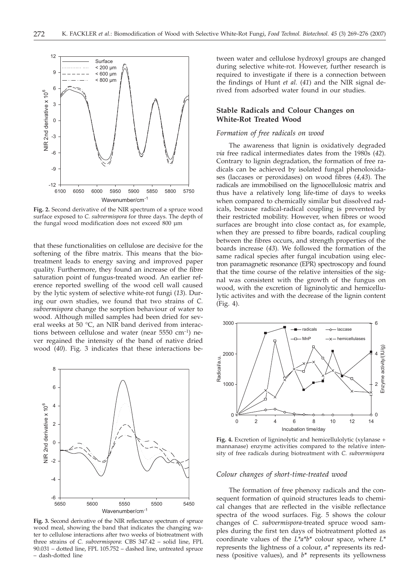

**Fig. 2.** Second derivative of the NIR spectrum of a spruce wood surface exposed to *C. subvermispora* for three days. The depth of the fungal wood modification does not exceed 800 µm

that these functionalities on cellulose are decisive for the softening of the fibre matrix. This means that the biotreatment leads to energy saving and improved paper quality. Furthermore, they found an increase of the fibre saturation point of fungus-treated wood. An earlier reference reported swelling of the wood cell wall caused by the lytic system of selective white-rot fungi (*13*). During our own studies, we found that two strains of *C. subvermispora* change the sorption behaviour of water to wood. Although milled samples had been dried for several weeks at 50 °C, an NIR band derived from interactions between cellulose and water (near  $5550 \text{ cm}^{-1}$ ) never regained the intensity of the band of native dried wood (*40*). Fig. 3 indicates that these interactions be-



**Fig. 3.** Second derivative of the NIR reflectance spectrum of spruce wood meal, showing the band that indicates the changing water to cellulose interactions after two weeks of biotreatment with three strains of *C. subvermispora*: CBS 347.42 – solid line, FPL 90.031 – dotted line, FPL 105.752 – dashed line, untreated spruce – dash-dotted line

tween water and cellulose hydroxyl groups are changed during selective white-rot. However, further research is required to investigate if there is a connection between the findings of Hunt *et al.* (*41*) and the NIR signal derived from adsorbed water found in our studies.

#### **Stable Radicals and Colour Changes on White-Rot Treated Wood**

#### *Formation of free radicals on wood*

The awareness that lignin is oxidatively degraded *via* free radical intermediates dates from the 1980s (*42*). Contrary to lignin degradation, the formation of free radicals can be achieved by isolated fungal phenoloxidases (laccases or peroxidases) on wood fibres (*4,43*). The radicals are immobilised on the lignocellulosic matrix and thus have a relatively long life-time of days to weeks when compared to chemically similar but dissolved radicals, because radical-radical coupling is prevented by their restricted mobility. However, when fibres or wood surfaces are brought into close contact as, for example, when they are pressed to fibre boards, radical coupling between the fibres occurs, and strength properties of the boards increase (*43*). We followed the formation of the same radical species after fungal incubation using electron paramagnetic resonance (EPR) spectroscopy and found that the time course of the relative intensities of the signal was consistent with the growth of the fungus on wood, with the excretion of ligninolytic and hemicellulytic activites and with the decrease of the lignin content (Fig. 4).



**Fig. 4.** Excretion of ligninolytic and hemicellulolytic (xylanase + mannanase) enzyme activities compared to the relative intensity of free radicals during biotreatment with *C. subvermispora*

#### *Colour changes of short-time-treated wood*

The formation of free phenoxy radicals and the consequent formation of quinoid structures leads to chemical changes that are reflected in the visible reflectance spectra of the wood surfaces. Fig. 5 shows the colour changes of *C. subvermispora*-treated spruce wood samples during the first ten days of biotreatment plotted as coordinate values of the *L\*a\*b\** colour space, where *L\** represents the lightness of a colour, *a\** represents its redness (positive values), and *b\** represents its yellowness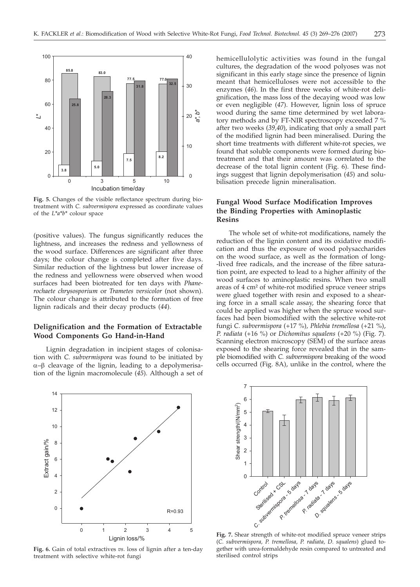

**Fig. 5.** Changes of the visible reflectance spectrum during biotreatment with *C. subvermispora* expressed as coordinate values of the *L\*a\*b\** colour space

(positive values). The fungus significantly reduces the lightness, and increases the redness and yellowness of the wood surface. Differences are significant after three days; the colour change is completed after five days. Similar reduction of the lightness but lower increase of the redness and yellowness were observed when wood surfaces had been biotreated for ten days with *Phanerochaete chrysosporium* or *Trametes versicolor* (not shown). The colour change is attributed to the formation of free lignin radicals and their decay products (*44*).

## **Delignification and the Formation of Extractable Wood Components Go Hand-in-Hand**

Lignin degradation in incipient stages of colonisation with *C. subvermispora* was found to be initiated by  $\alpha$ – $\beta$  cleavage of the lignin, leading to a depolymerisation of the lignin macromolecule (*45*). Although a set of

hemicellulolytic activities was found in the fungal cultures, the degradation of the wood polyoses was not significant in this early stage since the presence of lignin meant that hemicelluloses were not accessible to the enzymes (*46*). In the first three weeks of white-rot delignification, the mass loss of the decaying wood was low or even negligible (*47*). However, lignin loss of spruce wood during the same time determined by wet laboratory methods and by FT-NIR spectroscopy exceeded 7 % after two weeks (*39,40*), indicating that only a small part of the modified lignin had been mineralised. During the short time treatments with different white-rot species, we found that soluble components were formed during biotreatment and that their amount was correlated to the decrease of the total lignin content (Fig. 6). These findings suggest that lignin depolymerisation (*45*) and solubilisation precede lignin mineralisation.

# **Fungal Wood Surface Modification Improves the Binding Properties with Aminoplastic Resins**

The whole set of white-rot modifications, namely the reduction of the lignin content and its oxidative modification and thus the exposure of wood polysaccharides on the wood surface, as well as the formation of long- -lived free radicals, and the increase of the fibre saturation point, are expected to lead to a higher affinity of the wood surfaces to aminoplastic resins. When two small areas of 4 cm² of white-rot modified spruce veneer strips were glued together with resin and exposed to a shearing force in a small scale assay, the shearing force that could be applied was higher when the spruce wood surfaces had been biomodified with the selective white-rot fungi *C. subvermispora* (+17 %)*, Phlebia tremellosa* (+21 %), *P. radiata* (+16 %) or *Dichomitus squalens* (+20 %) (Fig. 7). Scanning electron microscopy (SEM) of the surface areas exposed to the shearing force revealed that in the sample biomodified with *C. subvermispora* breaking of the wood cells occurred (Fig. 8A), unlike in the control, where the



**Fig. 6.** Gain of total extractives *vs*. loss of lignin after a ten-day treatment with selective white-rot fungi



**Fig. 7.** Shear strength of white-rot modified spruce veneer strips (*C. subvermispora, P. tremellosa, P. radiata, D. squalens*) glued together with urea-formaldehyde resin compared to untreated and sterilised control strips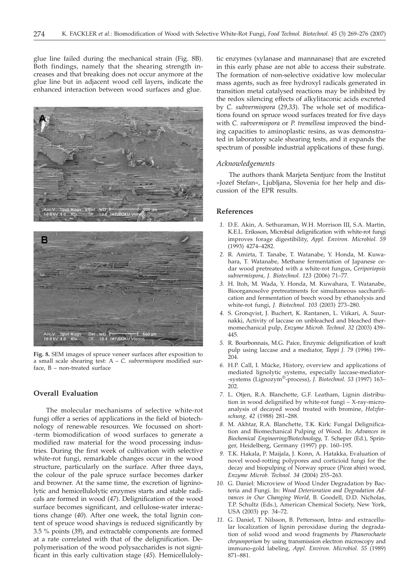glue line failed during the mechanical strain (Fig. 8B). Both findings, namely that the shearing strength increases and that breaking does not occur anymore at the glue line but in adjacent wood cell layers, indicate the enhanced interaction between wood surfaces and glue.





**Fig. 8.** SEM images of spruce veneer surfaces after exposition to a small scale shearing test: A – *C. subvermispora* modified surface, B – non-treated surface

#### **Overall Evaluation**

The molecular mechanisms of selective white-rot fungi offer a series of applications in the field of biotechnology of renewable resources. We focussed on short- -term biomodification of wood surfaces to generate a modified raw material for the wood processing industries. During the first week of cultivation with selective white-rot fungi, remarkable changes occur in the wood structure, particularly on the surface. After three days, the colour of the pale spruce surface becomes darker and browner. At the same time, the excretion of ligninolytic and hemicellulolytic enzymes starts and stable radicals are formed in wood (*47*). Delignification of the wood surface becomes significant, and cellulose-water interactions change (*40*). After one week, the total lignin content of spruce wood shavings is reduced significantly by 3.5 % points (*39*), and extractable components are formed at a rate correlated with that of the delignification. Depolymerisation of the wood polysaccharides is not significant in this early cultivation stage (*45*). Hemicelluloly-

tic enzymes (xylanase and mannanase) that are excreted in this early phase are not able to access their substrate. The formation of non-selective oxidative low molecular mass agents, such as free hydroxyl radicals generated in transition metal catalysed reactions may be inhibited by the redox silencing effects of alkylitaconic acids excreted by *C. subvermispora* (*29,33*). The whole set of modifications found on spruce wood surfaces treated for five days with *C. subvermispora* or *P. tremellosa* improved the binding capacities to aminoplastic resins, as was demonstrated in laboratory scale shearing tests, and it expands the spectrum of possible industrial applications of these fungi.

#### *Acknowledgements*

The authors thank Marjeta Sentjurc from the Institut »Jozef Stefan«, Ljubljana, Slovenia for her help and discussion of the EPR results.

#### **References**

- *1.* D.E. Akin, A. Sethuraman, W.H. Morrison III, S.A. Martin, K.E.L. Eriksson, Microbial delignification with white-rot fungi improves forage digestibility, *Appl. Environ. Microbiol. 59* (1993) 4274–4282.
- *2.* R. Amirta, T. Tanabe, T. Watanabe, Y. Honda, M. Kuwahara, T. Watanabe, Methane fermentation of Japanese cedar wood pretreated with a white-rot fungus, *Ceriporiopsis subvermispora*, *J. Biotechnol. 123* (2006) 71–77.
- *3.* H. Itoh, M. Wada, Y. Honda, M. Kuwahara, T. Watanabe, Bioorganosolve pretreatments for simultaneous saccharification and fermentation of beech wood by ethanolysis and white-rot fungi, *J. Biotechnol. 103* (2003) 273–280.
- *4.* S. Gronqvist, J. Buchert, K. Rantanen, L. Viikari, A. Suurnakki, Activity of laccase on unbleached and bleached thermomechanical pulp, *Enzyme Microb. Technol. 32* (2003) 439– 445.
- *5.* R. Bourbonnais, M.G. Paice, Enzymic delignification of kraft pulp using laccase and a mediator, *Tappi J. 79* (1996) 199– 204.
- *6.* H.P. Call, I. Mücke, History, overview and applications of mediated lignolytic systems, especially laccase-mediator- -systems (Lignozym®-process), *J. Biotechnol. 53* (1997) 163– 202.
- *7.* L. Otjen, R.A. Blanchette, G.F. Leatham, Lignin distribution in wood delignified by white-rot fungi – X-ray-microanalysis of decayed wood treated with bromine, *Holzforschung, 42* (1988) 281–288.
- *8.* M. Akhtar, R.A. Blanchette, T.K. Kirk: Fungal Delignification and Biomechanical Pulping of Wood. In: *Advances in Biochemical Engineering/Biotechnology*, T. Scheper (Ed.), Springer, Heidelberg, Germany (1997) pp. 160–195.
- *9.* T.K. Hakala, P. Maijala, J. Konn, A. Hatakka, Evaluation of novel wood-rotting polypores and corticioid fungi for the decay and biopulping of Norway spruce (*Picea abies*) wood, *Enzyme Microb. Technol. 34* (2004) 255–263.
- *10.* G. Daniel: Microview of Wood Under Degradation by Bacteria and Fungi. In: *Wood Deterioration and Degradation Advances in Our Changing World*, B. Goodell, D.D. Nicholas, T.P. Schultz (Eds.), American Chemical Society, New York, USA (2003) pp. 34–72.
- *11.* G. Daniel, T. Nilsson, B. Pettersson, Intra- and extracellular localization of lignin peroxidase during the degradation of solid wood and wood fragments by *Phanerochaete chrysosporium* by using transmission electron microscopy and immuno-gold labeling, *Appl. Environ. Microbiol. 55* (1989) 871–881.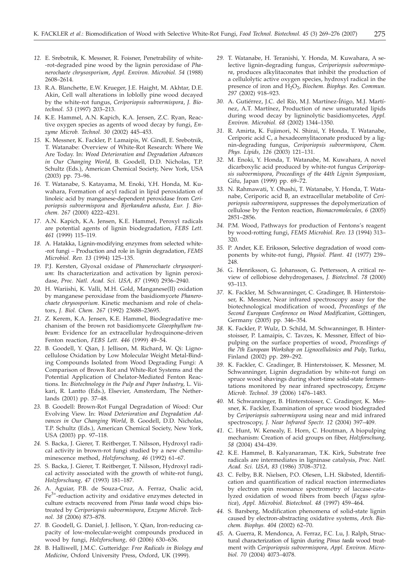- *12.* E. Srebotnik, K. Messner, R. Foisner, Penetrability of white- -rot-degraded pine wood by the lignin peroxidase of *Phanerochaete chrysosporium*, *Appl. Environ. Microbiol. 54* (1988) 2608–2614.
- *13.* R.A. Blanchette, E.W. Krueger, J.E. Haight, M. Akhtar, D.E. Akin, Cell wall alterations in loblolly pine wood decayed by the white-rot fungus, *Ceriporiopsis subvermispora*, *J. Biotechnol. 53* (1997) 203–213.
- *14.* K.E. Hammel, A.N. Kapich, K.A. Jensen, Z.C. Ryan, Reactive oxygen species as agents of wood decay by fungi, *Enzyme Microb. Technol. 30* (2002) 445–453.
- *15.* K. Messner, K. Fackler, P. Lamaipis, W. Gindl, E. Srebotnik, T. Watanabe: Overview of White-Rot Research: Where We Are Today. In: *Wood Deterioration and Degradation Advances in Our Changing World*, B. Goodell, D.D. Nicholas, T.P. Schultz (Eds.), American Chemical Society, New York, USA (2003) pp. 73–96.
- *16.* T. Watanabe, S. Katayama, M. Enoki, Y.H. Honda, M. Kuwahara, Formation of acyl radical in lipid peroxidation of linoleic acid by manganese-dependent peroxidase from *Ceriporiopsis subvermispora* and *Bjerkandera adusta*, *Eur. J. Biochem. 267* (2000) 4222–4231.
- *17.* A.N. Kapich, K.A. Jensen, K.E. Hammel, Peroxyl radicals are potential agents of lignin biodegradation, *FEBS Lett. 461* (1999) 115–119.
- *18.* A. Hatakka, Lignin-modifying enzymes from selected white- -rot fungi – Production and role in lignin degradation, *FEMS Microbiol. Rev. 13* (1994) 125–135.
- *19.* P.J. Kersten, Glyoxal oxidase of *Phanerochaete chrysosporium*: Its characterization and activation by lignin peroxidase, *Proc. Natl. Acad. Sci. USA, 87* (1990) 2936–2940.
- *20.* H. Wariishi, K. Valli, M.H. Gold, Manganese(II) oxidation by manganese peroxidase from the basidiomycete *Phanerochaete chrysosporium*. Kinetic mechanism and role of chelators, *J. Biol. Chem. 267* (1992) 23688–23695.
- *21.* Z. Kerem, K.A. Jensen, K.E. Hammel, Biodegradative mechanism of the brown rot basidiomycete *Gloeophyllum trabeum*: Evidence for an extracellular hydroquinone-driven Fenton reaction, *FEBS Lett. 446* (1999) 49–54.
- *22.* B. Goodell, Y. Qian, J. Jellison, M. Richard, W. Qi: Lignocellulose Oxidation by Low Molecular Weight Metal-Binding Compounds Isolated from Wood Degrading Fungi: A Comparison of Brown Rot and White-Rot Systems and the Potential Application of Chelator-Mediated Fenton Reactions. In: *Biotechnology in the Pulp and Paper Industry*, L. Viikari, R. Lantto (Eds.), Elsevier, Amsterdam, The Netherlands (2001) pp. 37–48.
- *23.* B. Goodell: Brown-Rot Fungal Degradation of Wood: Our Evolving View. In: *Wood Deterioration and Degradation Advances in Our Changing World*, B. Goodell, D.D. Nicholas, T.P. Schultz (Eds.), American Chemical Society, New York, USA (2003) pp. 97–118.
- *24.* S. Backa, J. Gierer, T. Reitberger, T. Nilsson, Hydroxyl radical activity in brown-rot fungi studied by a new chemiluminescence method, *Holzforschung, 46* (1992) 61–67.
- *25.* S. Backa, J. Gierer, T. Reitberger, T. Nilsson, Hydroxyl radical activity associated with the growth of white-rot fungi, *Holzforschung, 47* (1993) 181–187.
- *26.* A. Aguiar, P.B. de Souza-Cruz, A. Ferraz, Oxalic acid, Fe3+-reduction activity and oxidative enzymes detected in culture extracts recovered from *Pinus taeda* wood chips biotreated by *Ceriporiopsis subvermispora*, *Enzyme Microb. Technol. 38* (2006) 873–878.
- *27.* B. Goodell, G. Daniel, J. Jellison, Y. Qian, Iron-reducing capacity of low-molecular-weight compounds produced in wood by fungi, *Holzforschung, 60* (2006) 630–636.
- *28.* B. Halliwell, J.M.C. Gutteridge: *Free Radicals in Biology and Medicine*, Oxford University Press, Oxford, UK (1999).
- *29.* T. Watanabe, H. Teranishi, Y. Honda, M. Kuwahara, A selective lignin-degrading fungus, *Ceriporiopsis subvermispora*, produces alkylitaconates that inhibit the production of a cellulolytic active oxygen species, hydroxyl radical in the presence of iron and H<sub>2</sub>O<sub>2</sub>, *Biochem. Biophys. Res. Commun. 297* (2002) 918–923.
- *30.* A. Gutiérrez, J.C. del Río, M.J. Martínez-Íñigo, M.J. Martínez, A.T. Martínez, Production of new unsaturated lipids during wood decay by ligninolytic basidiomycetes, *Appl. Environ. Microbiol. 68* (2002) 1344–1350.
- *31.* R. Amirta, K. Fujimori, N. Shirai, Y. Honda, T. Watanabe, Ceriporic acid C, a hexadecenylitaconate produced by a lignin-degrading fungus, *Ceriporiopsis subvermispora*, *Chem. Phys. Lipids, 126* (2003) 121–131.
- *32.* M. Enoki, Y. Honda, T. Watanabe, M. Kuwahara, A novel dicarboxylic acid produced by white-rot fungus *Ceriporiopsis subvermispora*, *Proceedings of the 44th Lignin Symposium*, Gifu, Japan (1999) pp. 69–72.
- *33.* N. Rahmawati, Y. Ohashi, T. Watanabe, Y. Honda, T. Watanabe, Ceriporic acid B, an extracellular metabolite of *Ceriporiopsis subvermispora*, suppresses the depolymerization of cellulose by the Fenton reaction, *Biomacromolecules, 6* (2005) 2851–2856.
- *34.* P.M. Wood, Pathways for production of Fentons's reagent by wood-rotting fungi, *FEMS Microbiol. Rev. 13* (1994) 313– 320.
- *35.* P. Ander, K.E. Eriksson, Selective degradation of wood components by white-rot fungi, *Physiol. Plant. 41* (1977) 239– 248.
- *36.* G. Henriksson, G. Johansson, G. Pettersson, A critical review of cellobiose dehydrogenases, *J. Biotechnol. 78* (2000) 93–113.
- *37.* K. Fackler, M. Schwanninger, C. Gradinger, B. Hinterstoisser, K. Messner, Near infrared spectroscopy assay for the biotechnological modification of wood, *Proceedings of the Second European Conference on Wood Modification*, Göttingen, Germany (2005) pp. 346–354.
- *38.* K. Fackler, P. Wulz, D. Schild, M. Schwanninger, B. Hinterstoisser, P. Lamaipis, C. Tavzes, K. Messner, Effect of biopulping on the surface properties of wood, *Proceedings of the 7th European Workshop on Lignocellulosics and Pulp*, Turku, Finland (2002) pp. 289–292.
- *39.* K. Fackler, C. Gradinger, B. Hinterstoisser, K. Messner, M. Schwanninger, Lignin degradation by white-rot fungi on spruce wood shavings during short-time solid-state fermentations monitored by near infrared spectroscopy, *Enzyme Microb. Technol. 39* (2006) 1476–1483.
- *40.* M. Schwanninger, B. Hinterstoisser, C. Gradinger, K. Messner, K. Fackler, Examination of spruce wood biodegraded by *Ceriporiopsis subvermispora* using near and mid infrared spectroscopy, *J. Near Infrared Spectr. 12* (2004) 397–409.
- *41.* C. Hunt, W. Kenealy, E. Horn, C. Houtman, A biopulping mechanism: Creation of acid groups on fiber, *Holzforschung, 58* (2004) 434–439.
- *42.* K.E. Hammel, B. Kalyanaraman, T.K. Kirk, Substrate free radicals are intermediates in ligninase catalysis, *Proc. Natl. Acad. Sci. USA, 83* (1986) 3708–3712.
- *43.* C. Felby, B.R. Nielsen, P.O. Olesen, L.H. Skibsted, Identification and quantification of radical reaction intermediates by electron spin resonance spectrometry of laccase-catalyzed oxidation of wood fibers from beech (*Fagus sylvatica*), *Appl. Microbiol. Biotechnol. 48* (1997) 459–464.
- *44.* S. Barsberg, Modification phenomena of solid-state lignin caused by electron-abstracting oxidative systems, *Arch. Biochem. Biophys. 404* (2002) 62–70.
- *45.* A. Guerra, R. Mendonca, A. Ferraz, F.C. Lu, J. Ralph, Structural characterization of lignin during *Pinus taeda* wood treatment with *Ceriporiopsis subvermispora*, *Appl. Environ. Microbiol. 70* (2004) 4073–4078.